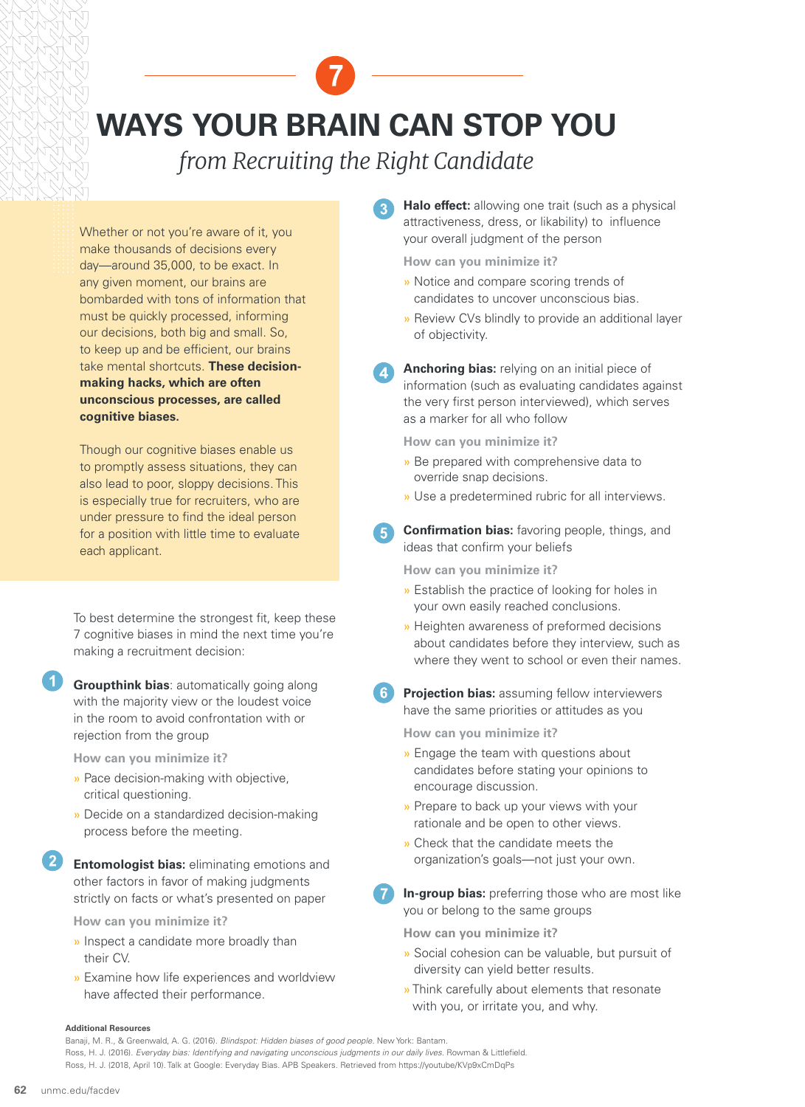## **WAYS YOUR BRAIN CAN STOP YOU**

## *from Recruiting the Right Candidate*

Whether or not you're aware of it, you make thousands of decisions every day—around 35,000, to be exact. In any given moment, our brains are bombarded with tons of information that must be quickly processed, informing our decisions, both big and small. So, to keep up and be efficient, our brains take mental shortcuts. **These decisionmaking hacks, which are often unconscious processes, are called cognitive biases.**

Though our cognitive biases enable us to promptly assess situations, they can also lead to poor, sloppy decisions. This is especially true for recruiters, who are under pressure to find the ideal person for a position with little time to evaluate each applicant.

To best determine the strongest fit, keep these 7 cognitive biases in mind the next time you're making a recruitment decision:

**Groupthink bias**: automatically going along with the majority view or the loudest voice in the room to avoid confrontation with or rejection from the group  $\bullet$ 

**How can you minimize it?**

- » Pace decision-making with objective, critical questioning.
- » Decide on a standardized decision-making process before the meeting.
- **Entomologist bias:** eliminating emotions and other factors in favor of making judgments strictly on facts or what's presented on paper 2

**How can you minimize it?**

- » Inspect a candidate more broadly than their CV.
- » Examine how life experiences and worldview have affected their performance.

**Halo effect:** allowing one trait (such as a physical attractiveness, dress, or likability) to influence your overall judgment of the person  $\mathbf{R}$ 

**How can you minimize it?**

- » Notice and compare scoring trends of candidates to uncover unconscious bias.
- » Review CVs blindly to provide an additional layer of objectivity.
- **Anchoring bias:** relying on an initial piece of information (such as evaluating candidates against the very first person interviewed), which serves as a marker for all who follow 4

**How can you minimize it?**

- » Be prepared with comprehensive data to override snap decisions.
- » Use a predetermined rubric for all interviews.
- **Confirmation bias:** favoring people, things, and ideas that confirm your beliefs 6

**How can you minimize it?**

- » Establish the practice of looking for holes in your own easily reached conclusions.
- » Heighten awareness of preformed decisions about candidates before they interview, such as where they went to school or even their names.
- **Projection bias:** assuming fellow interviewers have the same priorities or attitudes as you 6

**How can you minimize it?**

- » Engage the team with questions about candidates before stating your opinions to encourage discussion.
- » Prepare to back up your views with your rationale and be open to other views.
- » Check that the candidate meets the organization's goals—not just your own.
- **In-group bias:** preferring those who are most like you or belong to the same groups  $\overline{\textbf{O}}$

**How can you minimize it?**

- » Social cohesion can be valuable, but pursuit of diversity can yield better results.
- » Think carefully about elements that resonate with you, or irritate you, and why.

## **Additional Resources**

Banaji, M. R., & Greenwald, A. G. (2016). *Blindspot: Hidden biases of good people.* New York: Bantam. Ross, H. J. (2016). *Everyday bias: Identifying and navigating unconscious judgments in our daily lives.* Rowman & Littlefield. Ross, H. J. (2018, April 10). Talk at Google: Everyday Bias. APB Speakers. Retrieved from https://youtube/KVp9xCmDqPs